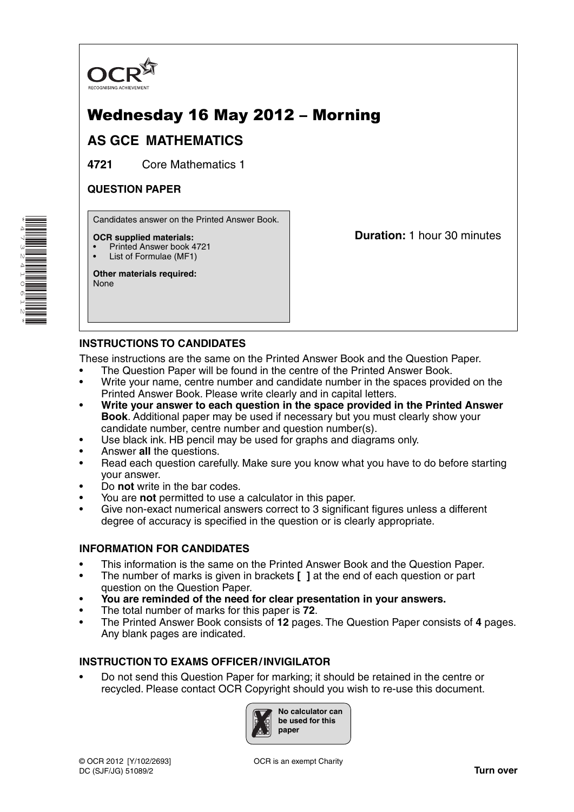

# Wednesday 16 May 2012 – Morning

## **AS GCE MATHEMATICS**

**4721** Core Mathematics 1

#### **QUESTION PAPER**

Candidates answer on the Printed Answer Book.

#### **OCR supplied materials:**

- Printed Answer book 4721
- List of Formulae (MF1)

**Other materials required:** None

**Duration:** 1 hour 30 minutes

## **INSTRUCTIONS TO CANDIDATES**

These instructions are the same on the Printed Answer Book and the Question Paper.

- The Question Paper will be found in the centre of the Printed Answer Book.
- Write your name, centre number and candidate number in the spaces provided on the Printed Answer Book. Please write clearly and in capital letters.
- **Write your answer to each question in the space provided in the Printed Answer Book**. Additional paper may be used if necessary but you must clearly show your candidate number, centre number and question number(s).
- Use black ink. HB pencil may be used for graphs and diagrams only.
- Answer **all** the questions.
- Read each question carefully. Make sure you know what you have to do before starting your answer.
- Do **not** write in the bar codes.
- You are **not** permitted to use a calculator in this paper.
- Give non-exact numerical answers correct to 3 significant figures unless a different degree of accuracy is specified in the question or is clearly appropriate.

## **INFORMATION FOR CANDIDATES**

- This information is the same on the Printed Answer Book and the Question Paper.
- The number of marks is given in brackets **[ ]** at the end of each question or part question on the Question Paper.
- **You are reminded of the need for clear presentation in your answers.**
- The total number of marks for this paper is **72**.
- The Printed Answer Book consists of **12** pages. The Question Paper consists of **4** pages. Any blank pages are indicated.

#### **INSTRUCTION TO EXAMS OFFICER / INVIGILATOR**

• Do not send this Question Paper for marking; it should be retained in the centre or recycled. Please contact OCR Copyright should you wish to re-use this document.



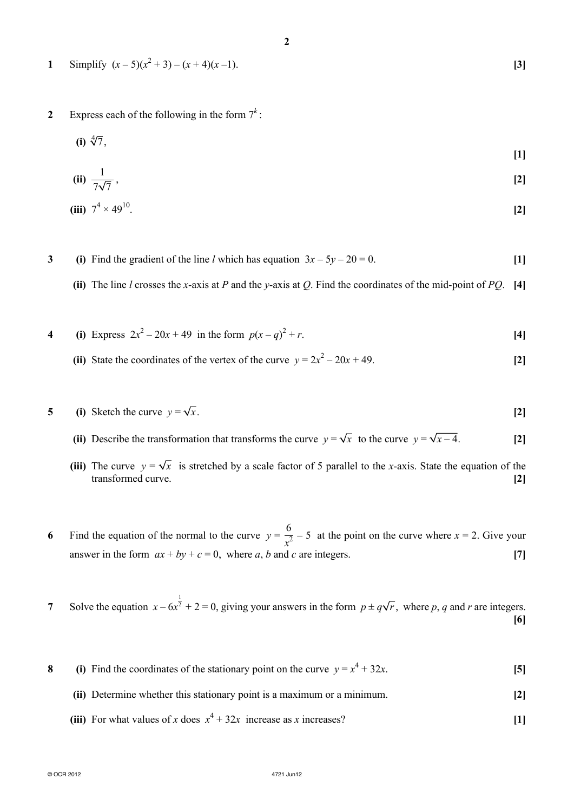- **1** Simplify  $(x-5)(x^2+3) (x+4)(x-1)$ . **[3]**
- **2** Express each of the following in the form  $7^k$ :
- $(i) \sqrt[4]{7}$ ,

$$
[1]
$$

(ii) 
$$
\frac{1}{7\sqrt{7}}
$$
, [2]

(iii) 
$$
7^4 \times 49^{10}
$$
. [2]

- **3** (i) Find the gradient of the line *l* which has equation  $3x 5y 20 = 0$ . [1]
	- **(ii)** The line *l* crosses the *x*-axis at *P* and the *y*-axis at *Q*. Find the coordinates of the mid-point of *PQ*. **[4]**
- **4** (i) Express  $2x^2 20x + 49$  in the form  $p(x q)^2$  $+r$ . **[4]**
- (ii) State the coordinates of the vertex of the curve  $y = 2x^2 20x + 49$ . [2]
- **5** (i) Sketch the curve  $y = \sqrt{x}$ . [2]
	- (ii) Describe the transformation that transforms the curve  $y = \sqrt{x}$  to the curve  $y = \sqrt{x-4}$ . [2]
	- (iii) The curve  $y = \sqrt{x}$  is stretched by a scale factor of 5 parallel to the *x*-axis. State the equation of the transformed curve. **[2]**
- **6** Find the equation of the normal to the curve  $y = \frac{6}{3}$  $\frac{6}{x^2}$  – 5 at the point on the curve where *x* = 2. Give your answer in the form  $ax + by + c = 0$ , where *a*, *b* and *c* are integers. [7]

**7** Solve the equation  $x - 6x^{\frac{1}{2}} + 2 = 0$ , giving your answers in the form  $p \pm q\sqrt{r}$ , where p, q and r are integers. **[6]**

- **8** (i) Find the coordinates of the stationary point on the curve  $y = x^4 + 32x$ . [5]
	- **(ii)** Determine whether this stationary point is a maximum or a minimum. **[2]**
- (iii) For what values of *x* does  $x^4 + 32x$  increase as *x* increases? [1]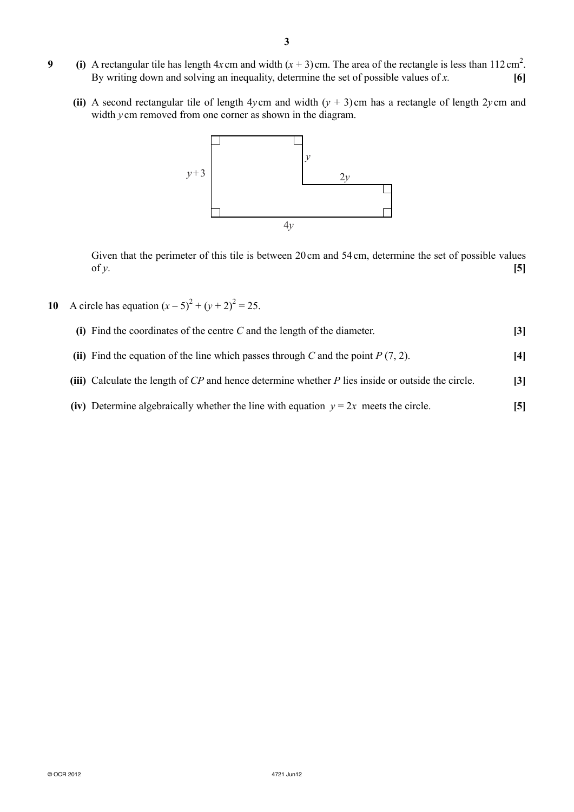- **9** (i) A rectangular tile has length  $4x$  cm and width  $(x + 3)$  cm. The area of the rectangle is less than  $112 \text{ cm}^2$ . By writing down and solving an inequality, determine the set of possible values of *x.* **[6]**
	- **(ii)** A second rectangular tile of length 4*y* cm and width  $(y + 3)$  cm has a rectangle of length 2*y* cm and width *y* cm removed from one corner as shown in the diagram.



Given that the perimeter of this tile is between 20 cm and 54 cm, determine the set of possible values of *y*.  $[5]$ 

**10** A circle has equation  $(x-5)^2 + (y+2)^2 = 25$ .



- **(ii)** Find the equation of the line which passes through *C* and the point *P* (7, 2). **[4]**
- **(iii)** Calculate the length of *CP* and hence determine whether *P* lies inside or outside the circle. **[3]**
- **(iv)** Determine algebraically whether the line with equation  $y = 2x$  meets the circle. **[5]**